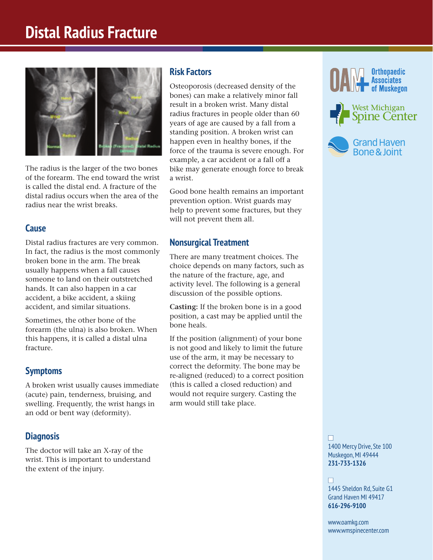# **Distal Radius Fracture**



The radius is the larger of the two bones of the forearm. The end toward the wrist is called the distal end. A fracture of the distal radius occurs when the area of the radius near the wrist breaks.

## **Cause**

Distal radius fractures are very common. In fact, the radius is the most commonly broken bone in the arm. The break usually happens when a fall causes someone to land on their outstretched hands. It can also happen in a car accident, a bike accident, a skiing accident, and similar situations.

Sometimes, the other bone of the forearm (the ulna) is also broken. When this happens, it is called a distal ulna fracture.

## **Symptoms**

A broken wrist usually causes immediate (acute) pain, tenderness, bruising, and swelling. Frequently, the wrist hangs in an odd or bent way (deformity).

## **Diagnosis**

The doctor will take an X-ray of the wrist. This is important to understand the extent of the injury.

## **Risk Factors**

Osteoporosis (decreased density of the bones) can make a relatively minor fall result in a broken wrist. Many distal radius fractures in people older than 60 years of age are caused by a fall from a standing position. A broken wrist can happen even in healthy bones, if the force of the trauma is severe enough. For example, a car accident or a fall off a bike may generate enough force to break a wrist.

Good bone health remains an important prevention option. Wrist guards may help to prevent some fractures, but they will not prevent them all.

## **Nonsurgical Treatment**

There are many treatment choices. The choice depends on many factors, such as the nature of the fracture, age, and activity level. The following is a general discussion of the possible options.

**Casting:** If the broken bone is in a good position, a cast may be applied until the bone heals.

If the position (alignment) of your bone is not good and likely to limit the future use of the arm, it may be necessary to correct the deformity. The bone may be re-aligned (reduced) to a correct position (this is called a closed reduction) and would not require surgery. Casting the arm would still take place.







n 1400 Mercy Drive, Ste 100 Muskegon, MI 49444 **231-733-1326**

#### n

1445 Sheldon Rd, Suite G1 Grand Haven MI 49417 **616-296-9100**

www.oamkg.com www.wmspinecenter.com